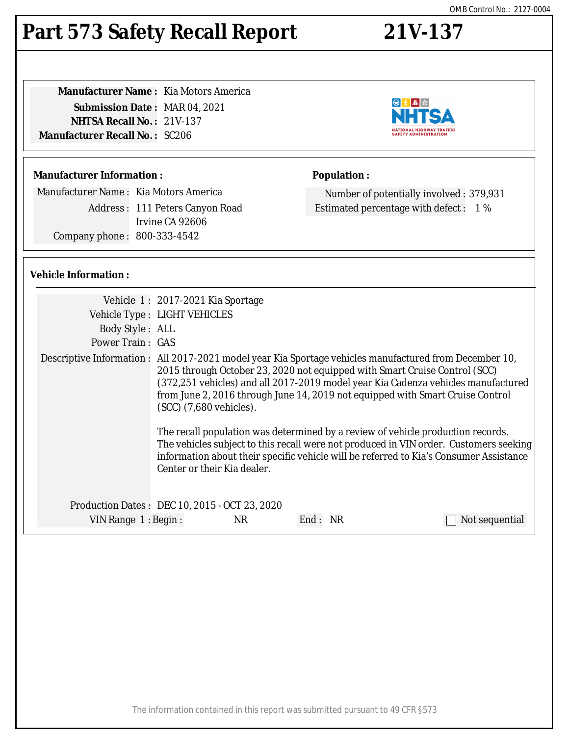#### The information contained in this report was submitted pursuant to 49 CFR §573

| י י<br>. . | $\bigwedge \bigwedge \overline{\bigwedge}$ |
|------------|--------------------------------------------|

**Population :**

# **Part 573 Safety Recall Report 21V-137**

| <b>Manufacturer Name: Kia Motors America</b> |
|----------------------------------------------|
| <b>Submission Date: MAR 04, 2021</b>         |
| <b>NHTSA Recall No.: 21V-137</b>             |
| <b>Manufacturer Recall No. : SC206</b>       |
|                                              |

# **Manufacturer Information :**

Manufacturer Name : Kia Motors America

Address : 111 Peters Canyon Road Irvine CA 92606 Company phone : 800-333-4542

# **Vehicle Information :**

| Vehicle Type : LIGHT VEHICLES<br>Body Style: ALL<br><b>Power Train: GAS</b><br>(SCC) (7,680 vehicles). |                                                                                                                   |                                                                                                                                                                                                                                                                                                                                                                                                                                                                                                                                                                                                                                              |
|--------------------------------------------------------------------------------------------------------|-------------------------------------------------------------------------------------------------------------------|----------------------------------------------------------------------------------------------------------------------------------------------------------------------------------------------------------------------------------------------------------------------------------------------------------------------------------------------------------------------------------------------------------------------------------------------------------------------------------------------------------------------------------------------------------------------------------------------------------------------------------------------|
| <b>NR</b><br>VIN Range 1: Begin:                                                                       |                                                                                                                   | Not sequential                                                                                                                                                                                                                                                                                                                                                                                                                                                                                                                                                                                                                               |
|                                                                                                        |                                                                                                                   |                                                                                                                                                                                                                                                                                                                                                                                                                                                                                                                                                                                                                                              |
|                                                                                                        | Vehicle 1: 2017-2021 Kia Sportage<br>Center or their Kia dealer.<br>Production Dates: DEC 10, 2015 - OCT 23, 2020 | Descriptive Information: All 2017-2021 model year Kia Sportage vehicles manufactured from December 10,<br>2015 through October 23, 2020 not equipped with Smart Cruise Control (SCC)<br>(372,251 vehicles) and all 2017-2019 model year Kia Cadenza vehicles manufactured<br>from June 2, 2016 through June 14, 2019 not equipped with Smart Cruise Control<br>The recall population was determined by a review of vehicle production records.<br>The vehicles subject to this recall were not produced in VIN order. Customers seeking<br>information about their specific vehicle will be referred to Kia's Consumer Assistance<br>End: NR |



Number of potentially involved : 379,931 Estimated percentage with defect : 1 %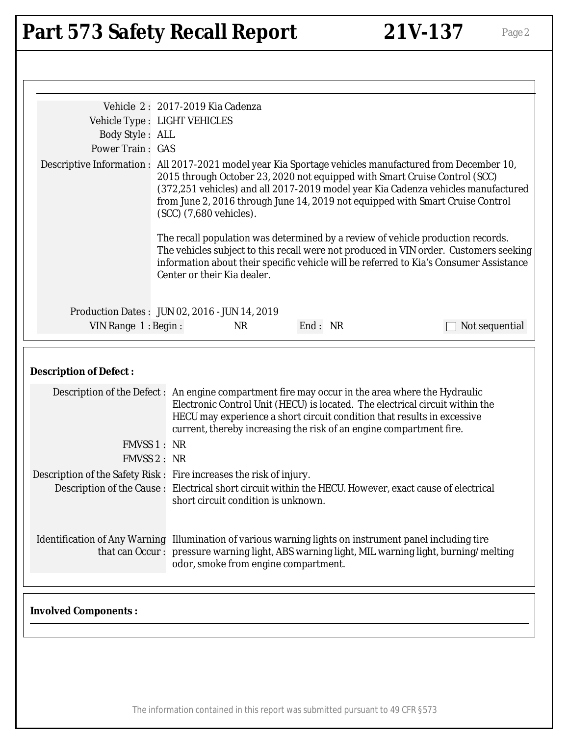# Part 573 Safety Recall Report 21V-137 Page 2

| Vehicle Type : LIGHT VEHICLES<br>Body Style: ALL<br>Power Train: GAS<br>Descriptive Information: All 2017-2021 model year Kia Sportage vehicles manufactured from December 10,<br>2015 through October 23, 2020 not equipped with Smart Cruise Control (SCC)<br>(372,251 vehicles) and all 2017-2019 model year Kia Cadenza vehicles manufactured<br>from June 2, 2016 through June 14, 2019 not equipped with Smart Cruise Control<br>(SCC) (7,680 vehicles).<br>The recall population was determined by a review of vehicle production records.<br>information about their specific vehicle will be referred to Kia's Consumer Assistance<br>Center or their Kia dealer.<br>Production Dates: JUN 02, 2016 - JUN 14, 2019<br>End: NR<br><b>NR</b><br>VIN Range $1:$ Begin:<br>Not sequential<br><b>Description of Defect:</b><br>Description of the Defect: An engine compartment fire may occur in the area where the Hydraulic<br>Electronic Control Unit (HECU) is located. The electrical circuit within the<br>HECU may experience a short circuit condition that results in excessive<br>current, thereby increasing the risk of an engine compartment fire.<br>FMVSS 1: NR<br>FMVSS 2: NR<br>Description of the Safety Risk : Fire increases the risk of injury.<br>Description of the Cause : Electrical short circuit within the HECU. However, exact cause of electrical<br>short circuit condition is unknown.<br>Identification of Any Warning Illumination of various warning lights on instrument panel including tire<br>that can Occur: pressure warning light, ABS warning light, MIL warning light, burning/melting<br>odor, smoke from engine compartment.<br><b>Involved Components:</b> | Vehicle 2: 2017-2019 Kia Cadenza                                                      |  |
|----------------------------------------------------------------------------------------------------------------------------------------------------------------------------------------------------------------------------------------------------------------------------------------------------------------------------------------------------------------------------------------------------------------------------------------------------------------------------------------------------------------------------------------------------------------------------------------------------------------------------------------------------------------------------------------------------------------------------------------------------------------------------------------------------------------------------------------------------------------------------------------------------------------------------------------------------------------------------------------------------------------------------------------------------------------------------------------------------------------------------------------------------------------------------------------------------------------------------------------------------------------------------------------------------------------------------------------------------------------------------------------------------------------------------------------------------------------------------------------------------------------------------------------------------------------------------------------------------------------------------------------------------------------------------------------------------------------|---------------------------------------------------------------------------------------|--|
|                                                                                                                                                                                                                                                                                                                                                                                                                                                                                                                                                                                                                                                                                                                                                                                                                                                                                                                                                                                                                                                                                                                                                                                                                                                                                                                                                                                                                                                                                                                                                                                                                                                                                                                |                                                                                       |  |
|                                                                                                                                                                                                                                                                                                                                                                                                                                                                                                                                                                                                                                                                                                                                                                                                                                                                                                                                                                                                                                                                                                                                                                                                                                                                                                                                                                                                                                                                                                                                                                                                                                                                                                                |                                                                                       |  |
|                                                                                                                                                                                                                                                                                                                                                                                                                                                                                                                                                                                                                                                                                                                                                                                                                                                                                                                                                                                                                                                                                                                                                                                                                                                                                                                                                                                                                                                                                                                                                                                                                                                                                                                |                                                                                       |  |
|                                                                                                                                                                                                                                                                                                                                                                                                                                                                                                                                                                                                                                                                                                                                                                                                                                                                                                                                                                                                                                                                                                                                                                                                                                                                                                                                                                                                                                                                                                                                                                                                                                                                                                                | The vehicles subject to this recall were not produced in VIN order. Customers seeking |  |
|                                                                                                                                                                                                                                                                                                                                                                                                                                                                                                                                                                                                                                                                                                                                                                                                                                                                                                                                                                                                                                                                                                                                                                                                                                                                                                                                                                                                                                                                                                                                                                                                                                                                                                                |                                                                                       |  |
|                                                                                                                                                                                                                                                                                                                                                                                                                                                                                                                                                                                                                                                                                                                                                                                                                                                                                                                                                                                                                                                                                                                                                                                                                                                                                                                                                                                                                                                                                                                                                                                                                                                                                                                |                                                                                       |  |
|                                                                                                                                                                                                                                                                                                                                                                                                                                                                                                                                                                                                                                                                                                                                                                                                                                                                                                                                                                                                                                                                                                                                                                                                                                                                                                                                                                                                                                                                                                                                                                                                                                                                                                                |                                                                                       |  |
|                                                                                                                                                                                                                                                                                                                                                                                                                                                                                                                                                                                                                                                                                                                                                                                                                                                                                                                                                                                                                                                                                                                                                                                                                                                                                                                                                                                                                                                                                                                                                                                                                                                                                                                |                                                                                       |  |
|                                                                                                                                                                                                                                                                                                                                                                                                                                                                                                                                                                                                                                                                                                                                                                                                                                                                                                                                                                                                                                                                                                                                                                                                                                                                                                                                                                                                                                                                                                                                                                                                                                                                                                                |                                                                                       |  |
|                                                                                                                                                                                                                                                                                                                                                                                                                                                                                                                                                                                                                                                                                                                                                                                                                                                                                                                                                                                                                                                                                                                                                                                                                                                                                                                                                                                                                                                                                                                                                                                                                                                                                                                |                                                                                       |  |
|                                                                                                                                                                                                                                                                                                                                                                                                                                                                                                                                                                                                                                                                                                                                                                                                                                                                                                                                                                                                                                                                                                                                                                                                                                                                                                                                                                                                                                                                                                                                                                                                                                                                                                                |                                                                                       |  |
|                                                                                                                                                                                                                                                                                                                                                                                                                                                                                                                                                                                                                                                                                                                                                                                                                                                                                                                                                                                                                                                                                                                                                                                                                                                                                                                                                                                                                                                                                                                                                                                                                                                                                                                |                                                                                       |  |
|                                                                                                                                                                                                                                                                                                                                                                                                                                                                                                                                                                                                                                                                                                                                                                                                                                                                                                                                                                                                                                                                                                                                                                                                                                                                                                                                                                                                                                                                                                                                                                                                                                                                                                                |                                                                                       |  |

The information contained in this report was submitted pursuant to 49 CFR §573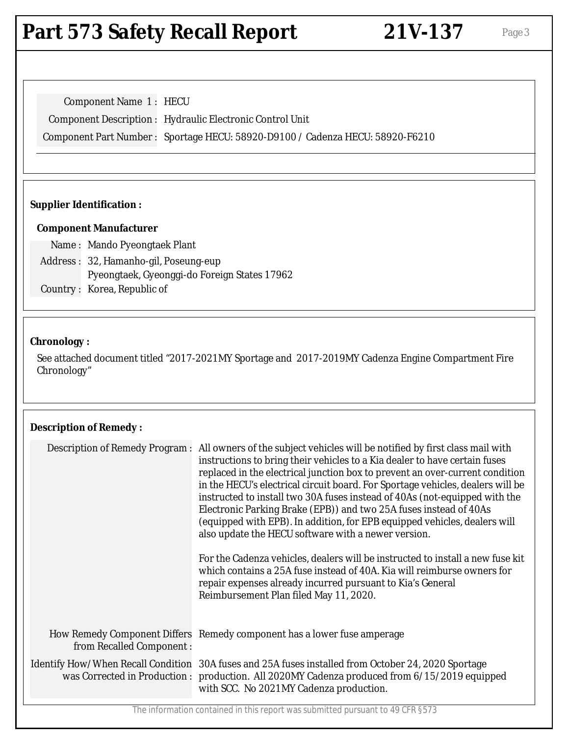# **Part 573 Safety Recall Report 21V-137** Page 3

Component Name 1 : HECU Component Description : Hydraulic Electronic Control Unit Component Part Number : Sportage HECU: 58920-D9100 / Cadenza HECU: 58920-F6210

# **Supplier Identification :**

### **Component Manufacturer**

Name : Mando Pyeongtaek Plant Address : 32, Hamanho-gil, Poseung-eup Pyeongtaek, Gyeonggi-do Foreign States 17962 Country : Korea, Republic of

#### **Chronology :**

See attached document titled "2017-2021MY Sportage and 2017-2019MY Cadenza Engine Compartment Fire Chronology"

### **Description of Remedy :**

| All owners of the subject vehicles will be notified by first class mail with<br>Description of Remedy Program :<br>instructions to bring their vehicles to a Kia dealer to have certain fuses<br>replaced in the electrical junction box to prevent an over-current condition<br>in the HECU's electrical circuit board. For Sportage vehicles, dealers will be<br>instructed to install two 30A fuses instead of 40As (not-equipped with the<br>Electronic Parking Brake (EPB)) and two 25A fuses instead of 40As<br>(equipped with EPB). In addition, for EPB equipped vehicles, dealers will<br>also update the HECU software with a newer version.<br>For the Cadenza vehicles, dealers will be instructed to install a new fuse kit<br>which contains a 25A fuse instead of 40A. Kia will reimburse owners for<br>repair expenses already incurred pursuant to Kia's General<br>Reimbursement Plan filed May 11, 2020.<br>How Remedy Component Differs Remedy component has a lower fuse amperage<br>from Recalled Component:<br>Identify How/When Recall Condition 30A fuses and 25A fuses installed from October 24, 2020 Sportage<br>was Corrected in Production : production. All 2020MY Cadenza produced from 6/15/2019 equipped<br>with SCC. No 2021MY Cadenza production. |  |  |
|---------------------------------------------------------------------------------------------------------------------------------------------------------------------------------------------------------------------------------------------------------------------------------------------------------------------------------------------------------------------------------------------------------------------------------------------------------------------------------------------------------------------------------------------------------------------------------------------------------------------------------------------------------------------------------------------------------------------------------------------------------------------------------------------------------------------------------------------------------------------------------------------------------------------------------------------------------------------------------------------------------------------------------------------------------------------------------------------------------------------------------------------------------------------------------------------------------------------------------------------------------------------------------------|--|--|
|                                                                                                                                                                                                                                                                                                                                                                                                                                                                                                                                                                                                                                                                                                                                                                                                                                                                                                                                                                                                                                                                                                                                                                                                                                                                                       |  |  |
|                                                                                                                                                                                                                                                                                                                                                                                                                                                                                                                                                                                                                                                                                                                                                                                                                                                                                                                                                                                                                                                                                                                                                                                                                                                                                       |  |  |
|                                                                                                                                                                                                                                                                                                                                                                                                                                                                                                                                                                                                                                                                                                                                                                                                                                                                                                                                                                                                                                                                                                                                                                                                                                                                                       |  |  |

The information contained in this report was submitted pursuant to 49 CFR §573